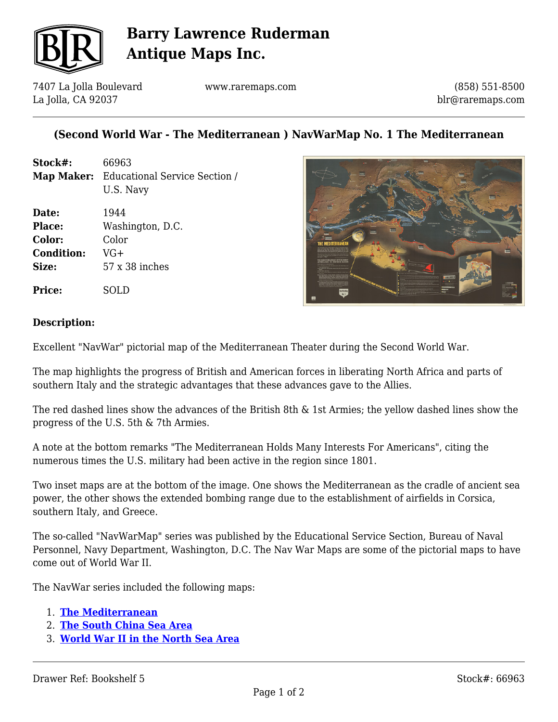

# **Barry Lawrence Ruderman Antique Maps Inc.**

7407 La Jolla Boulevard La Jolla, CA 92037

www.raremaps.com

(858) 551-8500 blr@raremaps.com

### **(Second World War - The Mediterranean ) NavWarMap No. 1 The Mediterranean**

| Stock#:           | 66963                                                        |
|-------------------|--------------------------------------------------------------|
|                   | <b>Map Maker:</b> Educational Service Section /<br>U.S. Navy |
| Date:             | 1944                                                         |
| <b>Place:</b>     | Washington, D.C.                                             |
| Color:            | Color                                                        |
| <b>Condition:</b> | VG+                                                          |
| Size:             | 57 x 38 inches                                               |



#### **Description:**

**Price:** SOLD

Excellent "NavWar" pictorial map of the Mediterranean Theater during the Second World War.

The map highlights the progress of British and American forces in liberating North Africa and parts of southern Italy and the strategic advantages that these advances gave to the Allies.

The red dashed lines show the advances of the British 8th & 1st Armies; the yellow dashed lines show the progress of the U.S. 5th & 7th Armies.

A note at the bottom remarks "The Mediterranean Holds Many Interests For Americans", citing the numerous times the U.S. military had been active in the region since 1801.

Two inset maps are at the bottom of the image. One shows the Mediterranean as the cradle of ancient sea power, the other shows the extended bombing range due to the establishment of airfields in Corsica, southern Italy, and Greece.

The so-called "NavWarMap" series was published by the Educational Service Section, Bureau of Naval Personnel, Navy Department, Washington, D.C. The Nav War Maps are some of the pictorial maps to have come out of World War II.

The NavWar series included the following maps:

- 1. **[The Mediterranean](https://www.raremaps.com/gallery/detail/66963)**
- 2. **[The South China Sea Area](https://www.raremaps.com/gallery/detail/66936)**
- 3. **[World War II in the North Sea Area](https://www.raremaps.com/gallery/detail/66919)**